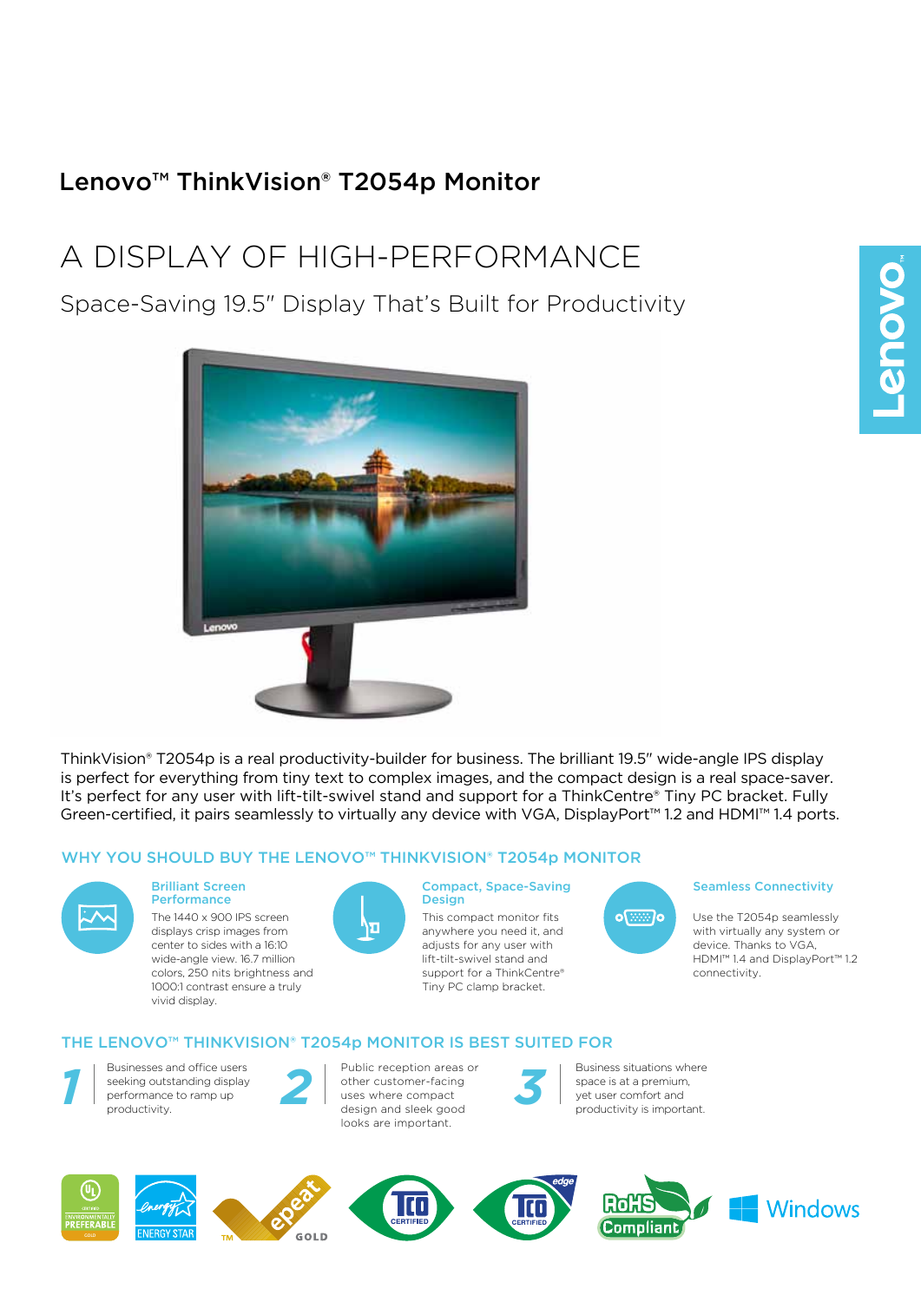# Lenovo™ ThinkVision® T2054p Monitor

# A Display of HIGH-PERFORMANCE

Space-Saving 19.5" Display That's Built for Productivity



ThinkVision® T2054p is a real productivity-builder for business. The brilliant 19.5" wide-angle IPS display is perfect for everything from tiny text to complex images, and the compact design is a real space-saver. It's perfect for any user with lift-tilt-swivel stand and support for a ThinkCentre® Tiny PC bracket. Fully Green-certified, it pairs seamlessly to virtually any device with VGA, DisplayPort™ 1.2 and HDMI™ 1.4 ports.

#### WHY YOU SHOULD BUY THE LENOVO™ THINKVISION® T2054p MONITOR



#### Brilliant Screen **Performance**

The 1440 x 900 IPS screen displays crisp images from center to sides with a 16:10 wide-angle view. 16.7 million colors, 250 nits brightness and 1000:1 contrast ensure a truly vivid display.



#### Compact, Space-Saving Design

This compact monitor fits anywhere you need it, and adjusts for any user with lift-tilt-swivel stand and support for a ThinkCentre® Tiny PC clamp bracket.

# $o$   $\sqrt{mn}$   $o$

#### Seamless Connectivity

Use the T2054p seamlessly with virtually any system or device. Thanks to VGA, HDMI™ 1.4 and DisplayPort™ 1.2 connectivity.

#### THE LENOVO™ THINKVISION® T2054p MONITOR IS BEST SUITED FOR

GOLD



nvironmentall<br>P**REFERABL**I

Businesses and office users seeking outstanding display performance to ramp up *1* productivity.

Public reception areas or other customer-facing uses where compact design and sleek good looks are important. Public reception areas or<br>
other customer-facing<br>
uses where compact<br>
design and sleek good<br>
the space is at a premium,<br>
yet user comfort and<br>
productivity is important.



space is at a premium, Business situations where<br>space is at a premium,<br>yet user comfort and<br>productivity is important.